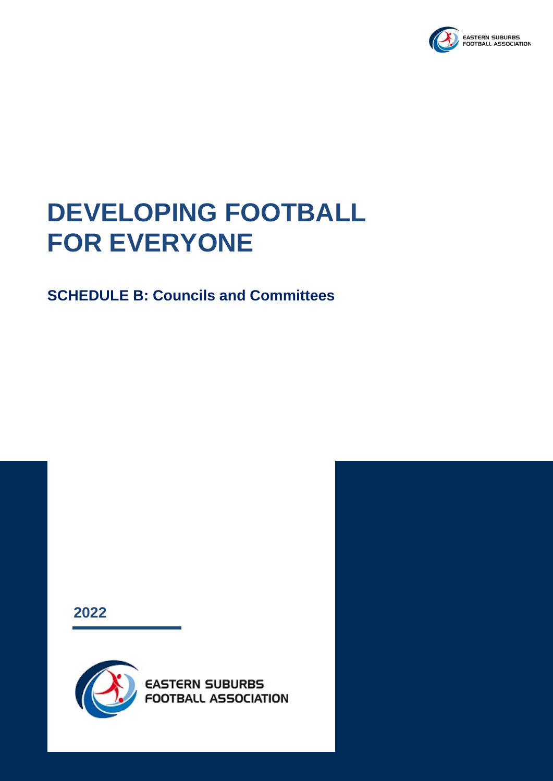

## **DEVELOPING FOOTBALL FOR EVERYONE**

## **SCHEDULE B: Councils and Committees**

**2022**

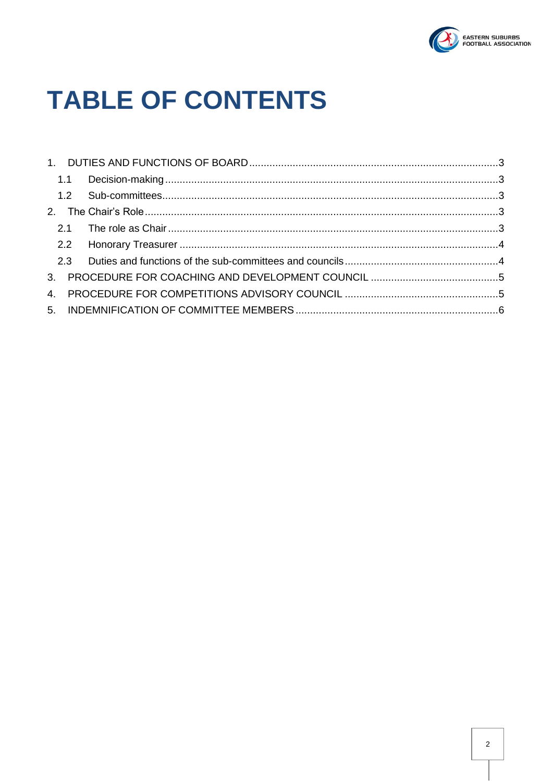

# **TABLE OF CONTENTS**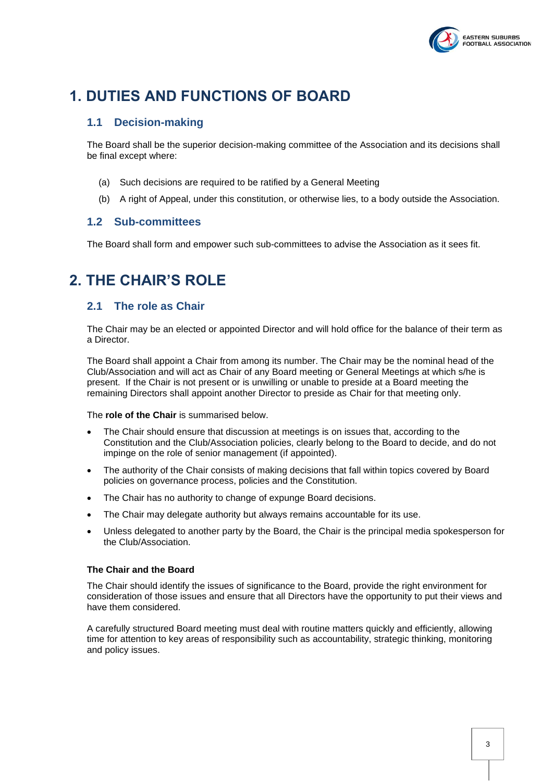

## <span id="page-2-1"></span><span id="page-2-0"></span>**1. DUTIES AND FUNCTIONS OF BOARD**

#### **1.1 Decision-making**

The Board shall be the superior decision-making committee of the Association and its decisions shall be final except where:

- (a) Such decisions are required to be ratified by a General Meeting
- (b) A right of Appeal, under this constitution, or otherwise lies, to a body outside the Association.

#### <span id="page-2-2"></span>**1.2 Sub-committees**

The Board shall form and empower such sub-committees to advise the Association as it sees fit.

## <span id="page-2-4"></span><span id="page-2-3"></span>**2. THE CHAIR'S ROLE**

#### **2.1 The role as Chair**

The Chair may be an elected or appointed Director and will hold office for the balance of their term as a Director.

The Board shall appoint a Chair from among its number. The Chair may be the nominal head of the Club/Association and will act as Chair of any Board meeting or General Meetings at which s/he is present. If the Chair is not present or is unwilling or unable to preside at a Board meeting the remaining Directors shall appoint another Director to preside as Chair for that meeting only.

The **role of the Chair** is summarised below.

- The Chair should ensure that discussion at meetings is on issues that, according to the Constitution and the Club/Association policies, clearly belong to the Board to decide, and do not impinge on the role of senior management (if appointed).
- The authority of the Chair consists of making decisions that fall within topics covered by Board policies on governance process, policies and the Constitution.
- The Chair has no authority to change of expunge Board decisions.
- The Chair may delegate authority but always remains accountable for its use.
- Unless delegated to another party by the Board, the Chair is the principal media spokesperson for the Club/Association.

#### **The Chair and the Board**

The Chair should identify the issues of significance to the Board, provide the right environment for consideration of those issues and ensure that all Directors have the opportunity to put their views and have them considered.

A carefully structured Board meeting must deal with routine matters quickly and efficiently, allowing time for attention to key areas of responsibility such as accountability, strategic thinking, monitoring and policy issues.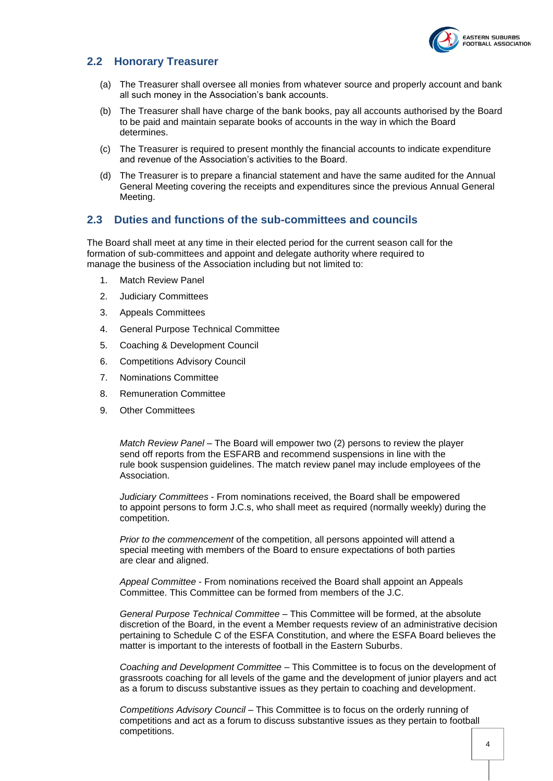

#### <span id="page-3-0"></span>**2.2 Honorary Treasurer**

- (a) The Treasurer shall oversee all monies from whatever source and properly account and bank all such money in the Association's bank accounts.
- (b) The Treasurer shall have charge of the bank books, pay all accounts authorised by the Board to be paid and maintain separate books of accounts in the way in which the Board determines.
- (c) The Treasurer is required to present monthly the financial accounts to indicate expenditure and revenue of the Association's activities to the Board.
- (d) The Treasurer is to prepare a financial statement and have the same audited for the Annual General Meeting covering the receipts and expenditures since the previous Annual General Meeting.

#### <span id="page-3-1"></span>**2.3 Duties and functions of the sub-committees and councils**

The Board shall meet at any time in their elected period for the current season call for the formation of sub-committees and appoint and delegate authority where required to manage the business of the Association including but not limited to:

- 1. Match Review Panel
- 2. Judiciary Committees
- 3. Appeals Committees
- 4. General Purpose Technical Committee
- 5. Coaching & Development Council
- 6. Competitions Advisory Council
- 7. Nominations Committee
- 8. Remuneration Committee
- 9. Other Committees

*Match Review Panel* – The Board will empower two (2) persons to review the player send off reports from the ESFARB and recommend suspensions in line with the rule book suspension guidelines. The match review panel may include employees of the Association.

*Judiciary Committees* - From nominations received, the Board shall be empowered to appoint persons to form J.C.s, who shall meet as required (normally weekly) during the competition.

*Prior to the commencement* of the competition, all persons appointed will attend a special meeting with members of the Board to ensure expectations of both parties are clear and aligned.

*Appeal Committee* - From nominations received the Board shall appoint an Appeals Committee. This Committee can be formed from members of the J.C.

*General Purpose Technical Committee* – This Committee will be formed, at the absolute discretion of the Board, in the event a Member requests review of an administrative decision pertaining to Schedule C of the ESFA Constitution, and where the ESFA Board believes the matter is important to the interests of football in the Eastern Suburbs.

*Coaching and Development Committee* – This Committee is to focus on the development of grassroots coaching for all levels of the game and the development of junior players and act as a forum to discuss substantive issues as they pertain to coaching and development.

*Competitions Advisory Council* – This Committee is to focus on the orderly running of competitions and act as a forum to discuss substantive issues as they pertain to football competitions.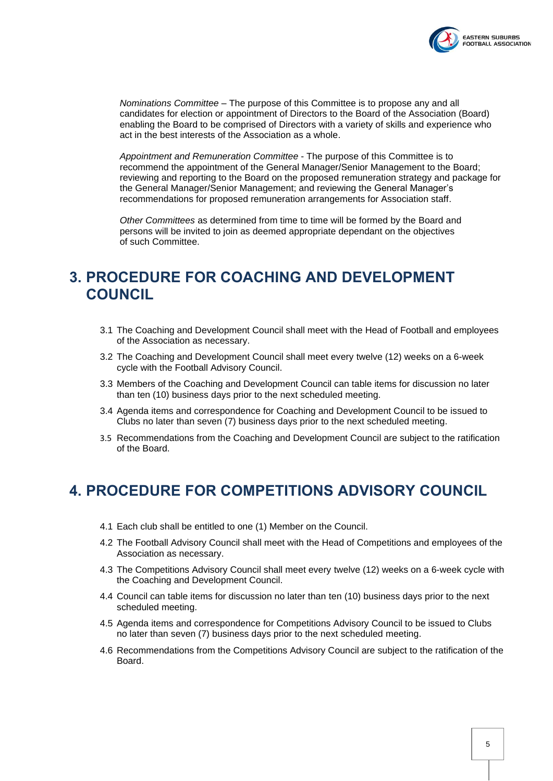

*Nominations Committee* – The purpose of this Committee is to propose any and all candidates for election or appointment of Directors to the Board of the Association (Board) enabling the Board to be comprised of Directors with a variety of skills and experience who act in the best interests of the Association as a whole.

*Appointment and Remuneration Committee* - The purpose of this Committee is to recommend the appointment of the General Manager/Senior Management to the Board; reviewing and reporting to the Board on the proposed remuneration strategy and package for the General Manager/Senior Management; and reviewing the General Manager's recommendations for proposed remuneration arrangements for Association staff.

*Other Committees* as determined from time to time will be formed by the Board and persons will be invited to join as deemed appropriate dependant on the objectives of such Committee.

## <span id="page-4-0"></span>**3. PROCEDURE FOR COACHING AND DEVELOPMENT COUNCIL**

- 3.1 The Coaching and Development Council shall meet with the Head of Football and employees of the Association as necessary.
- 3.2 The Coaching and Development Council shall meet every twelve (12) weeks on a 6-week cycle with the Football Advisory Council.
- 3.3 Members of the Coaching and Development Council can table items for discussion no later than ten (10) business days prior to the next scheduled meeting.
- 3.4 Agenda items and correspondence for Coaching and Development Council to be issued to Clubs no later than seven (7) business days prior to the next scheduled meeting.
- 3.5 Recommendations from the Coaching and Development Council are subject to the ratification of the Board.

### <span id="page-4-1"></span>**4. PROCEDURE FOR COMPETITIONS ADVISORY COUNCIL**

- 4.1 Each club shall be entitled to one (1) Member on the Council.
- 4.2 The Football Advisory Council shall meet with the Head of Competitions and employees of the Association as necessary.
- 4.3 The Competitions Advisory Council shall meet every twelve (12) weeks on a 6-week cycle with the Coaching and Development Council.
- 4.4 Council can table items for discussion no later than ten (10) business days prior to the next scheduled meeting.
- 4.5 Agenda items and correspondence for Competitions Advisory Council to be issued to Clubs no later than seven (7) business days prior to the next scheduled meeting.
- 4.6 Recommendations from the Competitions Advisory Council are subject to the ratification of the Board.